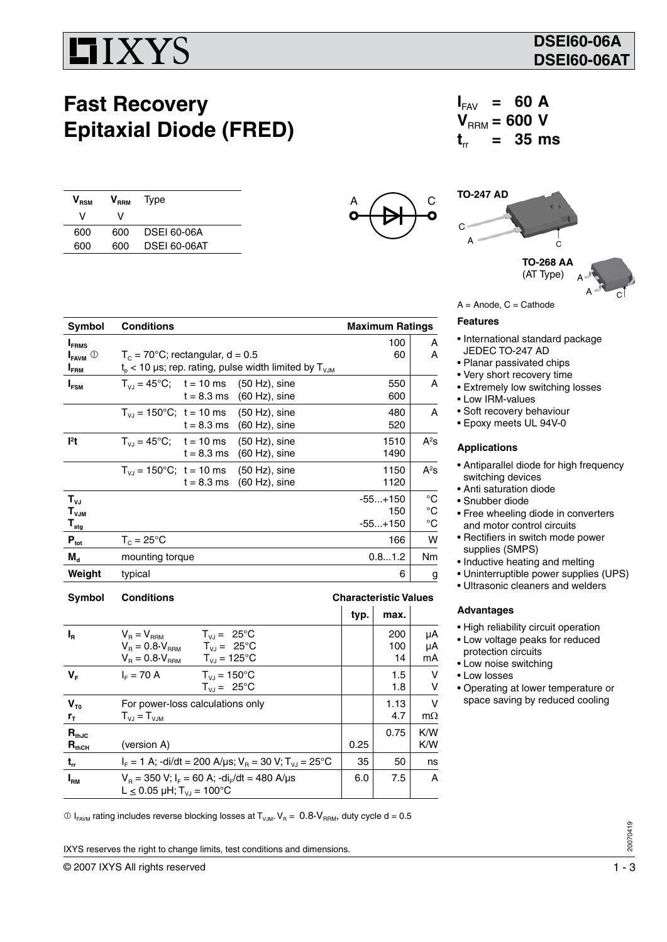# IIXYS

## **Fast Recovery Epitaxial Diode (FRED)**

| $\mathsf{V}_{\mathtt{nsm}}$ | $\mathsf{V}_{\scriptscriptstyle{\mathsf{RRM}}}$ | Type                |
|-----------------------------|-------------------------------------------------|---------------------|
| v                           | v                                               |                     |
| 600                         | 600                                             | <b>DSEI 60-06A</b>  |
| 600                         | റെറ                                             | <b>DSEI 60-06AT</b> |



| <b>TO-247 AD</b><br>С | C                             |   |
|-----------------------|-------------------------------|---|
|                       | <b>TO-268 AA</b><br>(AT Type) | ⌒ |

 $A =$  Anode,  $C =$  Cathode

 $I_{FAV}$  = **60 A**  $V_{RRM} = 600 V$  $t_{rr}$  = 35 ms

#### **Features**

- International standard package JEDEC TO-247 AD
- Planar passivated chips
- Very short recovery time
- Extremely low switching losses
- Low IRM-values
- Soft recovery behaviour
- Epoxy meets UL 94V-0

#### **Applications**

- Antiparallel diode for high frequency switching devices
- Anti saturation diode
- Snubber diode
- Free wheeling diode in converters and motor control circuits
- Rectifiers in switch mode power supplies (SMPS)
- Inductive heating and melting
- Uninterruptible power supplies (UPS)
- Ultrasonic cleaners and welders

#### **Advantages**

- High reliability circuit operation
- Low voltage peaks for reduced protection circuits
- Low noise switching
- Low losses
- Operating at lower temperature or space saving by reduced cooling

| <b>I</b> FRMS<br>$I_{FAVM}$ <sup>(1)</sup><br><b>IFRM</b> | $T_c = 70^{\circ}$ C; rectangular, d = 0.5 |              | $t_0$ < 10 µs; rep. rating, pulse width limited by $T_{VJM}$   | 100<br>60                     | Α<br>Α                                           |
|-----------------------------------------------------------|--------------------------------------------|--------------|----------------------------------------------------------------|-------------------------------|--------------------------------------------------|
| $I_{FSM}$                                                 | $T_{V1} = 45^{\circ}$ C; t = 10 ms         |              | (50 Hz), sine<br>$t = 8.3$ ms $(60 \text{ Hz})$ , sine         | 550<br>600                    | A                                                |
|                                                           |                                            | $t = 8.3$ ms | $T_{V,1}$ = 150°C; t = 10 ms (50 Hz), sine<br>$(60 Hz)$ , sine | 480<br>520                    | A                                                |
| $l^2t$                                                    | $T_{V1} = 45^{\circ}$ C; t = 10 ms         | $t = 8.3$ ms | $(50 Hz)$ , sine<br>$(60 Hz)$ , sine                           | 1510<br>1490                  | $A^2s$                                           |
|                                                           | $T_{V1}$ = 150°C; t = 10 ms                | $t = 8.3$ ms | (50 Hz), sine<br>$(60 Hz)$ , sine                              | 1150<br>1120                  | $A^2s$                                           |
| $T_{VJ}$<br>$T_{VJM}$<br>$\mathsf{T}_{\text{stg}}$        |                                            |              |                                                                | $-55+150$<br>150<br>$-55+150$ | $^{\circ}$ C<br>$^{\circ}C$<br>$^{\circ}{\rm C}$ |
| $P_{\text{tot}}$                                          | $T_c = 25^{\circ}$ C                       |              |                                                                | 166                           | W                                                |
| $M_{\rm d}$                                               | mounting torque                            |              |                                                                | 0.81.2                        | Nm                                               |
| Weight                                                    | typical                                    |              |                                                                | 6                             | g                                                |
|                                                           |                                            |              |                                                                |                               |                                                  |

**Symbol Conditions Maximum Ratings** 

| <b>Symbol</b>                   | <b>Conditions</b>                                                                                                                                           | <b>Characteristic Values</b> |                  |                           |
|---------------------------------|-------------------------------------------------------------------------------------------------------------------------------------------------------------|------------------------------|------------------|---------------------------|
|                                 |                                                                                                                                                             | typ.                         | max.             |                           |
| $I_R$                           | $T_{V,I} = 25^{\circ}C$<br>$V_B = V_{BBM}$<br>$V_B = 0.8 \cdot V_{BBM}$<br>$T_{V,I} = 25^{\circ}C$<br>$V_B = 0.8 \cdot V_{BBM}$<br>$T_{V,I} = 125^{\circ}C$ |                              | 200<br>100<br>14 | μA<br>μA<br>mA            |
| $V_{F}$                         | $T_{V1} = 150^{\circ}C$<br>$I_{E} = 70 A$<br>$T_{V,I} = 25^{\circ}C$                                                                                        |                              | 1.5<br>1.8       | v<br>v                    |
| $V_{T0}$<br>$r_{\tau}$          | For power-loss calculations only<br>$T_{V,J} = T_{V,JM}$                                                                                                    |                              | 1.13<br>4.7      | $\mathsf{V}$<br>$m\Omega$ |
| $R_{thJC}$<br>$R_{\text{thCH}}$ | (version A)                                                                                                                                                 | 0.25                         | 0.75             | K/W<br>K/W                |
| $t_{rr}$                        | $I_{\rm F}$ = 1 A; -di/dt = 200 A/ $\mu$ s; V <sub>B</sub> = 30 V; T <sub>VJ</sub> = 25°C                                                                   |                              | 50               | ns                        |
| $I_{\rm RM}$                    | $V_B = 350$ V; $I_F = 60$ A; $-dI_F/dt = 480$ A/ $\mu s$<br>L $\leq$ 0.05 µH; T <sub>VJ</sub> = 100°C                                                       |                              | 7.5              | A                         |

 $\circledR$  I<sub>FAVM</sub> rating includes reverse blocking losses at T<sub>VJM</sub>.  $V_R = 0.8 \cdot V_{RRM}$ , duty cycle d = 0.5

gen<br>IXYS reserves the right to change limits, test conditions and dimensions.<br>© 2007 IXYS All rights reserved 1 - 3 IXYS reserves the right to change limits, test conditions and dimensions.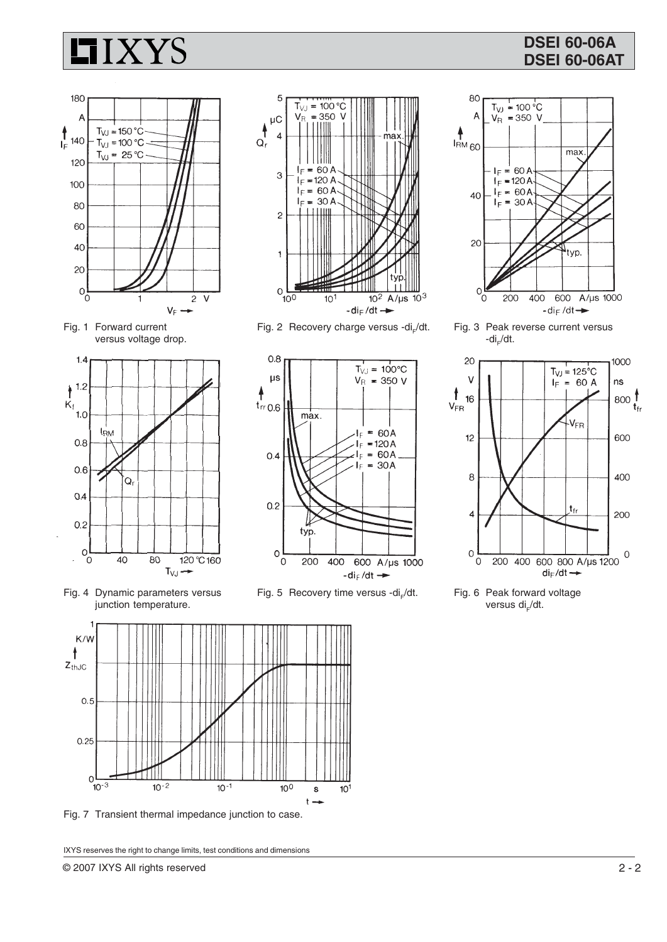

### **DSEI 60-06A DSEI 60-06AT**



versus voltage drop.



Fig. 4 Dynamic parameters versus Fig. 5 Recovery time versus -di<sub>F</sub>/dt. Fig. 6 Peak forward voltage<br>junction temperature. **Fig. 5 Recovery time versus -di<sub>F</sub>/dt**. Prime versus di<sub>F</sub>/dt. junction temperature.



Fig. 7 Transient thermal impedance junction to case.

IXYS reserves the right to change limits, test conditions and dimensions



 $T_{\text{VJ}} = 100^{\circ}$ C

 $V_{B}$  = 350 V

 $= 60A$ I۴

 $= 120A$ 

 $= 60A$ 

 $= 30A$ 

600 A/µs 1000

 $-di_F/dt$   $\rightarrow$ 

ءا۔

ءِ ا

 $0.8$ 

 $\mu s$ 

max.

typ.

200

400

ł

 $t_{rr}$ <sub>0.6</sub>

 $0.4$ 

 $0.2$ 

 $\circ$ 

 $\overline{O}$ 

 $\frac{1}{10}$ 40 20  $\epsilon$ 0 200



Fig. 1 Forward current Fig. 2 Recovery charge versus -di<sub>F</sub>/dt. Fig. 3 Peak reverse current versus versus voltage drop.

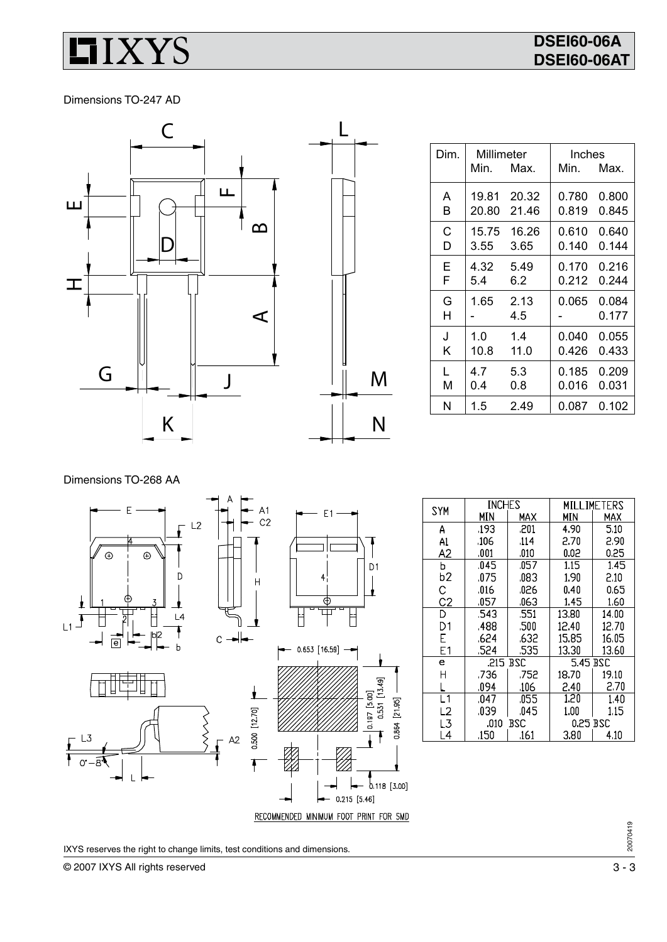

Dimensions TO-247 AD



| Dim.   | Millimeter    |               | Inches         |                |
|--------|---------------|---------------|----------------|----------------|
|        | Min.          | Max.          | Min.           | Max.           |
| A      | 19.81         | 20.32         | 0.780          | 0.800          |
| B      | 20.80         | 21.46         | 0.819          | 0.845          |
| C<br>D | 15.75<br>3.55 | 16.26<br>3.65 | 0.610<br>0.140 | 0.640<br>0.144 |
| Е<br>F | 4.32<br>5.4   | 5.49<br>6.2   | 0.170<br>0.212 | 0.216<br>0.244 |
| G<br>H | 1.65          | 2.13<br>4.5   | 0.065          | 0.084<br>0.177 |
| J<br>ĸ | 1.0<br>10.8   | 1.4<br>11.0   | 0.040<br>0.426 | 0.055<br>0.433 |
| L<br>М | 4.7<br>0.4    | 5.3<br>0.8    | 0.185<br>0.016 | 0.209<br>0.031 |
| N      | 1.5           | 2.49          | 0.087          | 0.102          |

Dimensions TO-268 AA



| <b>SYM</b>     | <b>INCHES</b> |      | MILLIMETERS |       |
|----------------|---------------|------|-------------|-------|
|                | MIN           | MAX  | MIN         | MAX   |
| Α              | .193          | .201 | 4.90        | 5.10  |
| A1             | .106          | .114 | 2.70        | 2.90  |
| A2             | .001          | .010 | 0.02        | 0.25  |
| Ы              | .045          | .057 | 1.15        | 1.45  |
| b2             | .075          | .083 | 190         | 2 10  |
| C              | .016          | .026 | 0.40        | 0.65  |
| C <sub>2</sub> | .057          | .063 | 1.45        | 160   |
| D              | .543          | .551 | 13.80       | 14.00 |
| D1             | .488          | .500 | 12.40       | 12.70 |
| E.             | ،624          | .632 | 15.85       | 16.05 |
| E1             | .524          | .535 | 13.30       | 13.60 |
| е              | .215 BSC      |      | 5.45 BSC    |       |
| н              | .736          | .752 | 18.70       | 1910  |
|                | .094          | .106 | 2.40        | 2.70  |
| L1             | .047          | .055 | 1.20        | 1.40  |
| L2             | .039          | .045 | 1.00        | 1.15  |
| L3             | BSC<br>.010   |      | 0.25 B.S.C  |       |
| $\overline{4}$ | .150          | .161 | 3.80        | 4.10  |

gen<br>IXYS reserves the right to change limits, test conditions and dimensions.<br>© 2007 IXYS All rights reserved - 3 - 3 IXYS reserves the right to change limits, test conditions and dimensions.